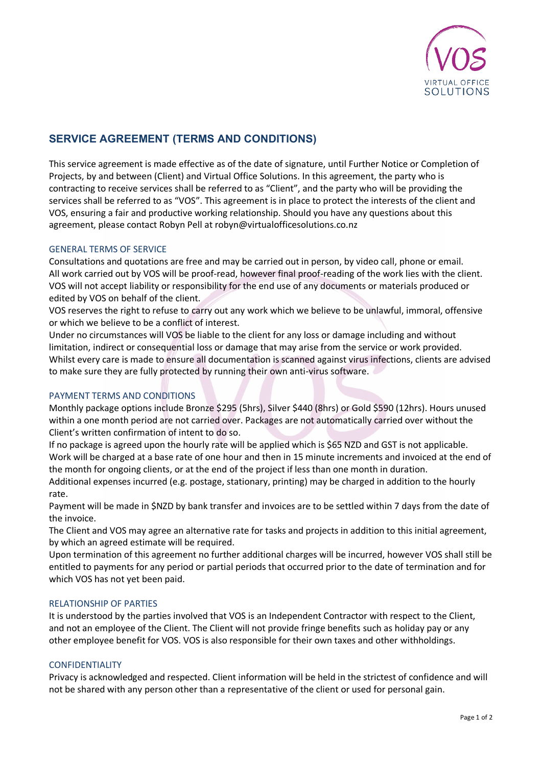

# **SERVICE AGREEMENT (TERMS AND CONDITIONS)**

This service agreement is made effective as of the date of signature, until Further Notice or Completion of Projects, by and between (Client) and Virtual Office Solutions. In this agreement, the party who is contracting to receive services shall be referred to as "Client", and the party who will be providing the services shall be referred to as "VOS". This agreement is in place to protect the interests of the client and VOS, ensuring a fair and productive working relationship. Should you have any questions about this agreement, please contact Robyn Pell at robyn@virtualofficesolutions.co.nz

## GENERAL TERMS OF SERVICE

Consultations and quotations are free and may be carried out in person, by video call, phone or email. All work carried out by VOS will be proof-read, however final proof-reading of the work lies with the client. VOS will not accept liability or responsibility for the end use of any documents or materials produced or edited by VOS on behalf of the client.

VOS reserves the right to refuse to carry out any work which we believe to be unlawful, immoral, offensive or which we believe to be a conflict of interest.

Under no circumstances will VOS be liable to the client for any loss or damage including and without limitation, indirect or consequential loss or damage that may arise from the service or work provided. Whilst every care is made to ensure all documentation is scanned against virus infections, clients are advised to make sure they are fully protected by running their own anti-virus software.

## PAYMENT TERMS AND CONDITIONS

Monthly package options include Bronze \$295 (5hrs), Silver \$440 (8hrs) or Gold \$590 (12hrs). Hours unused within a one month period are not carried over. Packages are not automatically carried over without the Client's written confirmation of intent to do so.

If no package is agreed upon the hourly rate will be applied which is \$65 NZD and GST is not applicable. Work will be charged at a base rate of one hour and then in 15 minute increments and invoiced at the end of the month for ongoing clients, or at the end of the project if less than one month in duration.

Additional expenses incurred (e.g. postage, stationary, printing) may be charged in addition to the hourly rate.

Payment will be made in \$NZD by bank transfer and invoices are to be settled within 7 days from the date of the invoice.

The Client and VOS may agree an alternative rate for tasks and projects in addition to this initial agreement, by which an agreed estimate will be required.

Upon termination of this agreement no further additional charges will be incurred, however VOS shall still be entitled to payments for any period or partial periods that occurred prior to the date of termination and for which VOS has not yet been paid.

## RELATIONSHIP OF PARTIES

It is understood by the parties involved that VOS is an Independent Contractor with respect to the Client, and not an employee of the Client. The Client will not provide fringe benefits such as holiday pay or any other employee benefit for VOS. VOS is also responsible for their own taxes and other withholdings.

## CONFIDENTIALITY

Privacy is acknowledged and respected. Client information will be held in the strictest of confidence and will not be shared with any person other than a representative of the client or used for personal gain.